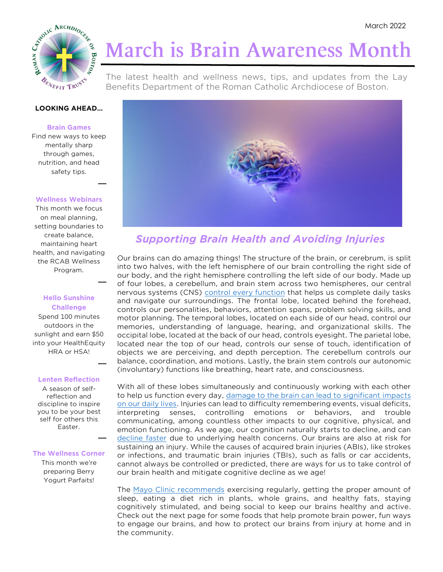

# **March is Brain Awareness Month**

The latest health and wellness news, tips, and updates from the Lay Benefits Department of the Roman Catholic Archdiocese of Boston.

#### **LOOKING AHEAD…**

#### **Brain Games**

Find new ways to keep mentally sharp through games, nutrition, and head safety tips.

#### **Wellness Webinars**

**\_\_**

**\_\_**

**\_\_**

This month we focus on meal planning, setting boundaries to create balance, maintaining heart health, and navigating the RCAB Wellness Program.

### **Hello Sunshine Challenge**

Spend 100 minutes outdoors in the sunlight and earn \$50 into your HealthEquity HRA or HSA!

#### **Lenten Reflection**

A season of selfreflection and discipline to inspire you to be your best self for others this Easter. **\_\_**

#### **The Wellness Corner**

This month we're preparing Berry Yogurt Parfaits!



### *Supporting Brain Health and Avoiding Injuries*

Our brains can do amazing things! The structure of the brain, or cerebrum, is split into two halves, with the left hemisphere of our brain controlling the right side of our body, and the right hemisphere controlling the left side of our body. Made up of four lobes, a cerebellum, and brain stem across two hemispheres, our central nervous systems (CNS) [control every function](https://www.biausa.org/brain-injury/about-brain-injury/basics/function-of-the-brain) that helps us complete daily tasks and navigate our surroundings. The frontal lobe, located behind the forehead, controls our personalities, behaviors, attention spans, problem solving skills, and motor planning. The temporal lobes, located on each side of our head, control our memories, understanding of language, hearing, and organizational skills. The occipital lobe, located at the back of our head, controls eyesight. The parietal lobe, located near the top of our head, controls our sense of touch, identification of objects we are perceiving, and depth perception. The cerebellum controls our balance, coordination, and motions. Lastly, the brain stem controls our autonomic (involuntary) functions like breathing, heart rate, and consciousness.

With all of these lobes simultaneously and continuously working with each other to help us function every day, [damage to the brain can lead to significant impacts](https://www.biausa.org/brain-injury/about-brain-injury/basics/function-of-the-brain)  [on our daily lives.](https://www.biausa.org/brain-injury/about-brain-injury/basics/function-of-the-brain) Injuries can lead to difficulty remembering events, visual deficits, interpreting senses, controlling emotions or behaviors, and trouble communicating, among countless other impacts to our cognitive, physical, and emotion functioning. As we age, our cognition naturally starts to decline, and can [decline faster](https://memory.ucsf.edu/symptoms/healthy-aging) due to underlying health concerns. Our brains are also at risk for sustaining an injury. While the causes of acquired brain injuries (ABIs), like strokes or infections, and traumatic brain injuries (TBIs), such as falls or car accidents, cannot always be controlled or predicted, there are ways for us to take control of our brain health and mitigate cognitive decline as we age!

The [Mayo Clinic recommends](https://www.mayoclinichealthsystem.org/hometown-health/speaking-of-health/5-tips-to-keep-your-brain-healthy) exercising regularly, getting the proper amount of sleep, eating a diet rich in plants, whole grains, and healthy fats, staying cognitively stimulated, and being social to keep our brains healthy and active. Check out the next page for some foods that help promote brain power, fun ways to engage our brains, and how to protect our brains from injury at home and in the community.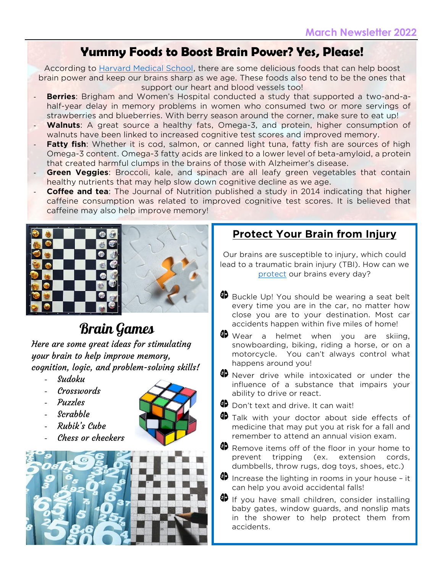# **Yummy Foods to Boost Brain Power? Yes, Please!**

According to [Harvard Medical School,](https://www.health.harvard.edu/healthbeat/foods-linked-to-better-brainpower) there are some delicious foods that can help boost brain power and keep our brains sharp as we age. These foods also tend to be the ones that support our heart and blood vessels too!

- **Berries**: Brigham and Women's Hospital conducted a study that supported a two-and-ahalf-year delay in memory problems in women who consumed two or more servings of strawberries and blueberries. With berry season around the corner, make sure to eat up!
- **Walnuts:** A great source a healthy fats, Omega-3, and protein, higher consumption of walnuts have been linked to increased cognitive test scores and improved memory.
- **Fatty fish**: Whether it is cod, salmon, or canned light tuna, fatty fish are sources of high Omega-3 content. Omega-3 fatty acids are linked to a lower level of beta-amyloid, a protein that created harmful clumps in the brains of those with Alzheimer's disease.
- **Green Veggies:** Broccoli, kale, and spinach are all leafy green vegetables that contain healthy nutrients that may help slow down cognitive decline as we age.
- **Coffee and tea**: The Journal of Nutrition published a study in 2014 indicating that higher caffeine consumption was related to improved cognitive test scores. It is believed that caffeine may also help improve memory!



# Brain Games

Here are some great ideas for stimulating your brain to help improve memory, cognition, logic, and problem-solving skills!

- Sudoku
- Crosswords
- Puzzles
- Scrabble
- Rubik's Cube
- Chess or checkers



## **Protect Your Brain from Injury**

Our brains are susceptible to injury, which could lead to a traumatic brain injury (TBI). How can we [protect](https://www.shepherd.org/patient-programs/brain-injury/about/Brain-Injury-Prevention) our brains every day?

- **B** Buckle Up! You should be wearing a seat belt every time you are in the car, no matter how close you are to your destination. Most car accidents happen within five miles of home!
- **49** Wear a helmet when you are skiing, snowboarding, biking, riding a horse, or on a motorcycle. You can't always control what happens around you!
- **49** Never drive while intoxicated or under the influence of a substance that impairs your ability to drive or react.
- 4D Don't text and drive. It can wait!
- **49** Talk with your doctor about side effects of medicine that may put you at risk for a fall and remember to attend an annual vision exam.
- **B** Remove items off of the floor in your home to prevent tripping (ex. extension cords, dumbbells, throw rugs, dog toys, shoes, etc.)
- $\bullet$  Increase the lighting in rooms in your house it can help you avoid accidental falls!
- <sup>6</sup> If you have small children, consider installing baby gates, window guards, and nonslip mats in the shower to help protect them from accidents.

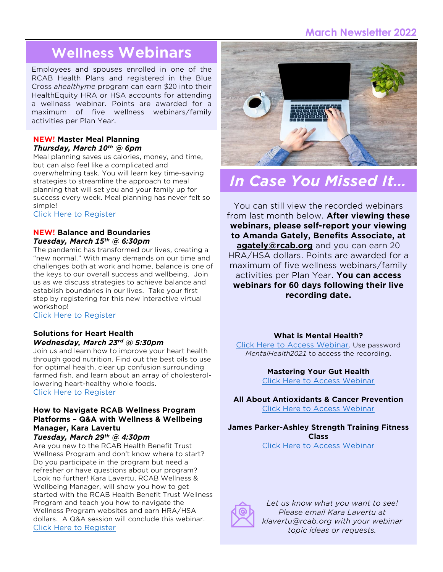### **March Newsletter 2022**

# **Wellness Webinars**

Employees and spouses enrolled in one of the RCAB Health Plans and registered in the Blue Cross *ahealthyme* program can earn \$20 into their HealthEquity HRA or HSA accounts for attending a wellness webinar. Points are awarded for a maximum of five wellness webinars/family activities per Plan Year.

### **NEW! Master Meal Planning** *Thursday, March 10th @ 6pm*

Meal planning saves us calories, money, and time, but can also feel like a complicated and overwhelming task. You will learn key time-saving strategies to streamline the approach to meal planning that will set you and your family up for success every week. Meal planning has never felt so simple!

[Click Here to Register](https://t.sidekickopen87.com/s3t/c/5/f18dQhb0S7kF8cp337VTx3fL59hl3kW7_k2841CX2c7W3KmB3K2R1QTJMVmJZLbtf9g102?te=W3R5hFj4cm2zwW4hLTKz4mBct4W4tB1VL1JH0QfW4mBcv941PGrNW49KvpZ4cQgTgW1Lq0S12nQ8s1W3bk3Tj32GhPLW1Ndgl63gcGYr3bvb2&si=8000000000349507&pi=732f99c8-9e2a-45b0-b683-a8c848ce56b6)

### **NEW! Balance and Boundaries**  *Tuesday, March 15th @ 6:30pm*

The pandemic has transformed our lives, creating a "new normal." With many demands on our time and challenges both at work and home, balance is one of the keys to our overall success and wellbeing. Join us as we discuss strategies to achieve balance and establish boundaries in our lives. Take your first step by registering for this new interactive virtual workshop!

[Click Here to Register](https://t.sidekickopen87.com/s3t/c/5/f18dQhb0S7kF8cp337VTx3fL59hl3kW7_k2841CX2c7W3KmB3K2R1QTJMVmJZLbtf9g102?te=W3R5hFj4cm2zwW4hLTKz4mBct4W4tB1VL1JH0QfW4mBcv941PGrNW49KvpZ4cQgTgW1Lq0S14rlG9BW3NWzz830B0tQW32rM173W2K-X393P2&si=8000000000349507&pi=ac913fc7-b460-475f-b674-3afea1ee918f)

### **Solutions for Heart Health**  *Wednesday, March 23rd @ 5:30pm*

Join us and learn how to improve your heart health through good nutrition. Find out the best oils to use for optimal health, clear up confusion surrounding farmed fish, and learn about an array of cholesterollowering heart-healthy whole foods. [Click Here to Register](https://t.sidekickopen87.com/s3t/c/5/f18dQhb0S7kF8cp337VTx3fL59hl3kW7_k2841CX2c7W3KmB3K2R1QTJMVmJZLbtf9g102?te=W3R5hFj4cm2zwW4hLTKz4mBct4W4tB1VL1JH0QfW4mBcv941PGrNW49KvpZ4cQgTgW1Lq0S12xPrwhW1Gm7-Q2-J1SlW3W1VZ13bs3QZ35Mg2&si=8000000000349507&pi=320c327d-08f1-4cf1-8a2a-ac90f11f91f5)

### **How to Navigate RCAB Wellness Program Platforms – Q&A with Wellness & Wellbeing Manager, Kara Lavertu** *Tuesday, March 29th @ 4:30pm*

Are you new to the RCAB Health Benefit Trust Wellness Program and don't know where to start? Do you participate in the program but need a refresher or have questions about our program? Look no further! Kara Lavertu, RCAB Wellness & Wellbeing Manager, will show you how to get started with the RCAB Health Benefit Trust Wellness Program and teach you how to navigate the Wellness Program websites and earn HRA/HSA dollars. A Q&A session will conclude this webinar. [Click Here to Register](https://attendee.gotowebinar.com/register/1132069687737466636)



# *In Case You Missed It…*

You can still view the recorded webinars from last month below. **After viewing these webinars, please self-report your viewing to Amanda Gately, Benefits Associate, at [agately@rcab.org](mailto:agately@rcab.org)** and you can earn 20 HRA/HSA dollars. Points are awarded for a maximum of five wellness webinars/family activities per Plan Year. **You can access webinars for 60 days following their live recording date.**

### **What is Mental Health?**

[Click Here to Access Webinar](https://vimeo.com/611828669). Use password *MentalHealth2021* to access the recording.

**Mastering Your Gut Health**

[Click Here to Access Webinar](https://attendee.gotowebinar.com/recording/5459577020275277327)

**All About Antioxidants & Cancer Prevention** [Click Here to Access Webinar](https://us02web.zoom.us/rec/share/oX2SXjb7GcmIvN-Hue0vqfn7VwPKeEybsg3zaW-Yvy21wCMZq9lah-kmkIccH26y.M0D6WIsmo6wvjRvH?startTime=1644446803000)

**James Parker-Ashley Strength Training Fitness Class**

[Click Here to Access Webinar](https://attendee.gotowebinar.com/recording/2734256041614829058)



*Let us know what you want to see! Please email Kara Lavertu at [klavertu@rcab.org](mailto:klavertu@rcab.org) with your webinar topic ideas or requests.*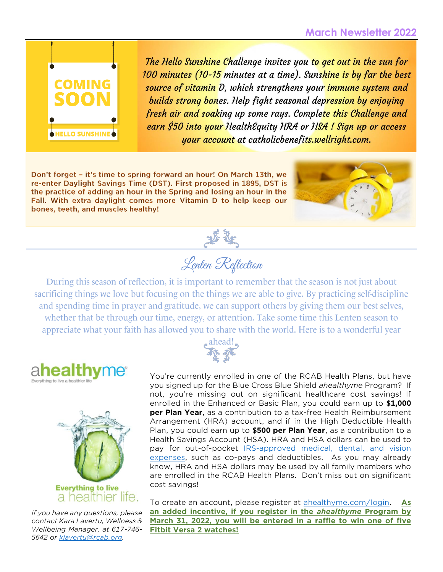

The Hello Sunshine Challenge invites you to get out in the sun for 100 minutes (10-15 minutes at a time). Sunshine is by far the best source of vitamin D, which strengthens your immune system and builds strong bones. Help fight seasonal depression by enjoying fresh air and soaking up some rays. Complete this Challenge and earn \$50 into your HealthEquity HRA or HSA ! Sign up or access your account at catholicbenefits.wellright.com.

Don't forget - it's time to spring forward an hour! On March 13th, we re-enter Daylight Savings Time (DST). First proposed in 1895, DST is the practice of adding an hour in the Spring and losing an hour in the Fall. With extra daylight comes more Vitamin D to help keep our bones, teeth, and muscles healthy!



Lenten Reflection

During this season of reflection, it is important to remember that the season is not just about sacrificing things we love but focusing on the things we are able to give. By practicing self-discipline and spending time in prayer and gratitude, we can support others by giving them our best selves, whether that be through our time, energy, or attention. Take some time this Lenten season to appreciate what your faith has allowed you to share with the world. Here is to a wonderful year





*If you have any questions, please contact Kara Lavertu, Wellness & Wellbeing Manager, at 617-746- 5642 or [klavertu@rcab.org.](mailto:klavertu@rcab.org)*



You're currently enrolled in one of the RCAB Health Plans, but have you signed up for the Blue Cross Blue Shield *ahealthyme* Program? If not, you're missing out on significant healthcare cost savings! If enrolled in the Enhanced or Basic Plan, you could earn up to **\$1,000 per Plan Year**, as a contribution to a tax-free Health Reimbursement Arrangement (HRA) account, and if in the High Deductible Health Plan, you could earn up to **\$500 per Plan Year**, as a contribution to a Health Savings Account (HSA). HRA and HSA dollars can be used to pay for out-of-pocket **IRS-approved** medical, dental, and vision [expenses,](http://catholicbenefits.org/PDF/2021/health/irs_qual_exp.pdf) such as co-pays and deductibles. As you may already know, HRA and HSA dollars may be used by all family members who are enrolled in the RCAB Health Plans. Don't miss out on significant cost savings!

To create an account, please register at [ahealthyme.com/login.](https://bluecrossma.ahealthyme.com/dt/v2/bcbsmaindex.asp) **As an added incentive, if you register in the** *ahealthyme* **Program by March 31, 2022, you will be entered in a raffle to win one of five Fitbit Versa 2 watches!**